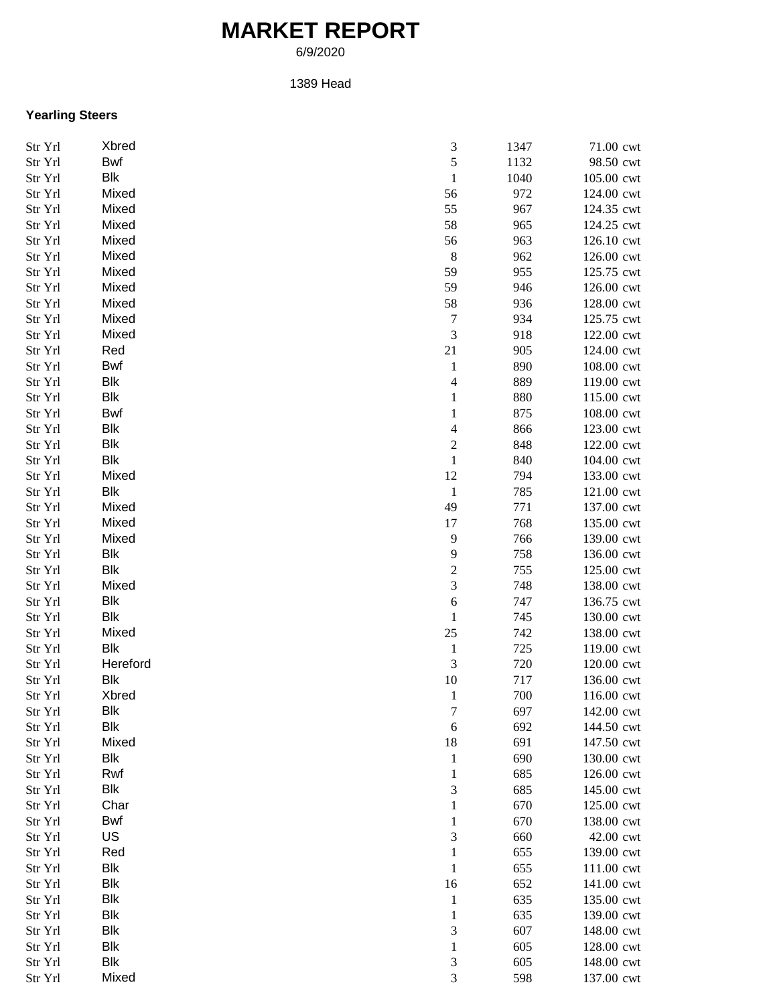## **MARKET REPORT**

6/9/2020

1389 Head

## **Yearling Steers**

| Str Yrl | Xbred      | 3                        | 1347 | 71.00 cwt  |
|---------|------------|--------------------------|------|------------|
| Str Yrl | Bwf        | 5                        | 1132 | 98.50 cwt  |
| Str Yrl | Blk        | $\,1\,$                  | 1040 | 105.00 cwt |
| Str Yrl | Mixed      | 56                       | 972  | 124.00 cwt |
| Str Yrl | Mixed      | 55                       | 967  | 124.35 cwt |
| Str Yrl | Mixed      | 58                       | 965  | 124.25 cwt |
| Str Yrl | Mixed      | 56                       | 963  | 126.10 cwt |
| Str Yrl | Mixed      | $\,$ 8 $\,$              | 962  | 126.00 cwt |
| Str Yrl | Mixed      | 59                       | 955  | 125.75 cwt |
| Str Yrl | Mixed      | 59                       | 946  | 126.00 cwt |
| Str Yrl | Mixed      | 58                       | 936  | 128.00 cwt |
| Str Yrl | Mixed      | 7                        | 934  | 125.75 cwt |
| Str Yrl | Mixed      | $\mathfrak{Z}$           | 918  | 122.00 cwt |
| Str Yrl | Red        | 21                       | 905  | 124.00 cwt |
| Str Yrl | Bwf        | $\mathbf{1}$             | 890  | 108.00 cwt |
| Str Yrl | Blk        | $\overline{\mathcal{L}}$ | 889  | 119.00 cwt |
| Str Yrl | Blk        | $\mathbf{1}$             | 880  | 115.00 cwt |
|         | Bwf        |                          |      | 108.00 cwt |
| Str Yrl |            | $\,1\,$                  | 875  |            |
| Str Yrl | Blk        | 4                        | 866  | 123.00 cwt |
| Str Yrl | Blk        | $\boldsymbol{2}$         | 848  | 122.00 cwt |
| Str Yrl | Blk        | $\,1\,$                  | 840  | 104.00 cwt |
| Str Yrl | Mixed      | 12                       | 794  | 133.00 cwt |
| Str Yrl | Blk        | $\,1\,$                  | 785  | 121.00 cwt |
| Str Yrl | Mixed      | 49                       | 771  | 137.00 cwt |
| Str Yrl | Mixed      | 17                       | 768  | 135.00 cwt |
| Str Yrl | Mixed      | 9                        | 766  | 139.00 cwt |
| Str Yrl | Blk        | 9                        | 758  | 136.00 cwt |
| Str Yrl | Blk        | $\boldsymbol{2}$         | 755  | 125.00 cwt |
| Str Yrl | Mixed      | 3                        | 748  | 138.00 cwt |
| Str Yrl | <b>Blk</b> | 6                        | 747  | 136.75 cwt |
| Str Yrl | <b>Blk</b> | $\mathbf{1}$             | 745  | 130.00 cwt |
| Str Yrl | Mixed      | 25                       | 742  | 138.00 cwt |
| Str Yrl | <b>Blk</b> | $\mathbf{1}$             | 725  | 119.00 cwt |
| Str Yrl | Hereford   | $\mathfrak{Z}$           | 720  | 120.00 cwt |
| Str Yrl | Blk        | $10\,$                   | 717  | 136.00 cwt |
| Str Yrl | Xbred      | $\mathbf{1}$             | 700  | 116.00 cwt |
| Str Yrl | Blk        | $\overline{7}$           | 697  | 142.00 cwt |
| Str Yrl | Blk        | 6                        | 692  | 144.50 cwt |
| Str Yrl | Mixed      | 18                       | 691  | 147.50 cwt |
| Str Yrl | Blk        | $\mathbf{1}$             | 690  | 130.00 cwt |
| Str Yrl | Rwf        | $\mathbf{1}$             | 685  | 126.00 cwt |
| Str Yrl | Blk        | 3                        | 685  | 145.00 cwt |
| Str Yrl | Char       | $\mathbf{1}$             | 670  | 125.00 cwt |
| Str Yrl | Bwf        | $\mathbf{1}$             | 670  | 138.00 cwt |
| Str Yrl | US         | 3                        | 660  | 42.00 cwt  |
| Str Yrl | Red        | $\mathbf{1}$             | 655  | 139.00 cwt |
| Str Yrl | Blk        | $\mathbf{1}$             | 655  | 111.00 cwt |
| Str Yrl | <b>Blk</b> | 16                       | 652  | 141.00 cwt |
| Str Yrl | <b>Blk</b> | $\mathbf{1}$             | 635  | 135.00 cwt |
| Str Yrl | Blk        | $\mathbf{1}$             | 635  | 139.00 cwt |
| Str Yrl | Blk        | 3                        | 607  | 148.00 cwt |
|         | Blk        | $\,1\,$                  | 605  | 128.00 cwt |
| Str Yrl | Blk        |                          | 605  |            |
| Str Yrl |            | $\mathfrak{Z}$           |      | 148.00 cwt |
| Str Yrl | Mixed      | 3                        | 598  | 137.00 cwt |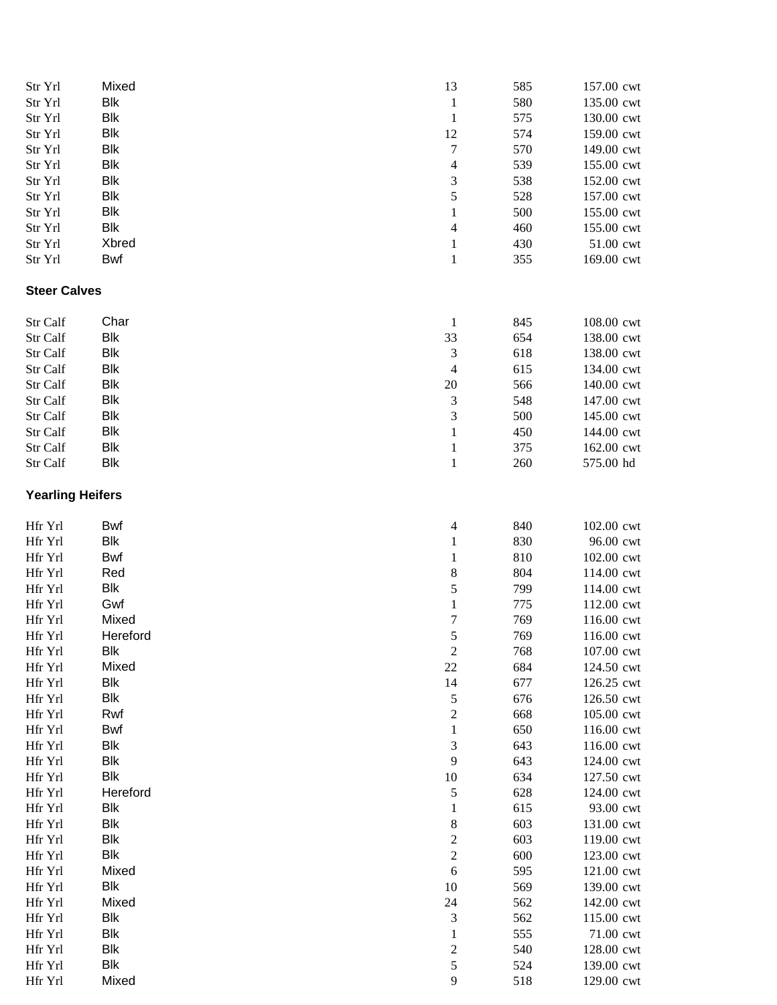| Str Yrl                 | Mixed      | 13                       | 585 | 157.00 cwt |
|-------------------------|------------|--------------------------|-----|------------|
| Str Yrl                 | Blk        | $\mathbf{1}$             | 580 | 135.00 cwt |
| Str Yrl                 | Blk        | $\mathbf{1}$             | 575 | 130.00 cwt |
| Str Yrl                 | <b>Blk</b> | 12                       | 574 | 159.00 cwt |
| Str Yrl                 | <b>Blk</b> | $\boldsymbol{7}$         | 570 | 149.00 cwt |
| Str Yrl                 | <b>Blk</b> | $\overline{\mathcal{L}}$ | 539 | 155.00 cwt |
| Str Yrl                 | <b>Blk</b> | 3                        | 538 | 152.00 cwt |
| Str Yrl                 | <b>Blk</b> | 5                        | 528 | 157.00 cwt |
| Str Yrl                 | <b>Blk</b> | $\mathbf{1}$             | 500 | 155.00 cwt |
| Str Yrl                 | Blk        | $\overline{\mathcal{A}}$ | 460 | 155.00 cwt |
| Str Yrl                 | Xbred      | $\mathbf{1}$             | 430 | 51.00 cwt  |
| Str Yrl                 | <b>Bwf</b> | $\mathbf{1}$             | 355 | 169.00 cwt |
| <b>Steer Calves</b>     |            |                          |     |            |
| Str Calf                | Char       | $\mathbf{1}$             | 845 | 108.00 cwt |
| Str Calf                | <b>Blk</b> | 33                       | 654 | 138.00 cwt |
| Str Calf                | <b>Blk</b> | $\mathfrak{Z}$           | 618 | 138.00 cwt |
| Str Calf                | Blk        | $\overline{4}$           | 615 | 134.00 cwt |
| Str Calf                | Blk        | 20                       | 566 | 140.00 cwt |
| Str Calf                | <b>Blk</b> | 3                        | 548 | 147.00 cwt |
| Str Calf                | <b>Blk</b> | 3                        | 500 | 145.00 cwt |
|                         | Blk        |                          | 450 | 144.00 cwt |
| Str Calf                | Blk        | $\mathbf{1}$             |     |            |
| Str Calf                |            | $\mathbf{1}$             | 375 | 162.00 cwt |
| Str Calf                | <b>Blk</b> | $\mathbf{1}$             | 260 | 575.00 hd  |
| <b>Yearling Heifers</b> |            |                          |     |            |
| Hfr Yrl                 | <b>Bwf</b> | $\overline{\mathcal{A}}$ | 840 | 102.00 cwt |
| Hfr Yrl                 | <b>Blk</b> | $\mathbf{1}$             | 830 | 96.00 cwt  |
| Hfr Yrl                 | Bwf        | $\mathbf{1}$             | 810 | 102.00 cwt |
| Hfr Yrl                 | Red        | 8                        | 804 | 114.00 cwt |
| Hfr Yrl                 | Blk        | 5                        | 799 | 114.00 cwt |
| Hfr Yrl                 | Gwf        | $\mathbf{1}$             | 775 | 112.00 cwt |
| Hfr Yrl                 | Mixed      | $\boldsymbol{7}$         | 769 | 116.00 cwt |
| Hfr Yrl                 | Hereford   | 5                        | 769 | 116.00 cwt |
| Hfr Yrl                 | Blk        | $\boldsymbol{2}$         | 768 | 107.00 cwt |
| Hfr Yrl                 | Mixed      | 22                       | 684 | 124.50 cwt |
| Hfr Yrl                 | Blk        | 14                       | 677 | 126.25 cwt |
| Hfr Yrl                 | Blk        | 5                        | 676 | 126.50 cwt |
| Hfr Yrl                 | Rwf        | $\overline{\mathbf{c}}$  | 668 | 105.00 cwt |
| Hfr Yrl                 | <b>Bwf</b> | $\mathbf{1}$             | 650 | 116.00 cwt |
| Hfr Yrl                 | Blk        | $\mathfrak{Z}$           | 643 | 116.00 cwt |
| Hfr Yrl                 | Blk        | $\overline{9}$           | 643 | 124.00 cwt |
| Hfr Yrl                 | <b>Blk</b> | $10\,$                   | 634 | 127.50 cwt |
| Hfr Yrl                 | Hereford   | 5                        | 628 | 124.00 cwt |
| Hfr Yrl                 | Blk        | $\mathbf{1}$             | 615 | 93.00 cwt  |
| Hfr Yrl                 | <b>Blk</b> | 8                        | 603 | 131.00 cwt |
| Hfr Yrl                 | Blk        | $\overline{\mathbf{c}}$  | 603 | 119.00 cwt |
| Hfr Yrl                 | Blk        | $\overline{c}$           | 600 | 123.00 cwt |
| Hfr Yrl                 | Mixed      | $\sqrt{6}$               | 595 | 121.00 cwt |
| Hfr Yrl                 | Blk        | 10                       | 569 | 139.00 cwt |
| Hfr Yrl                 | Mixed      | 24                       | 562 | 142.00 cwt |
| Hfr Yrl                 | Blk        | $\mathfrak{Z}$           | 562 | 115.00 cwt |
| Hfr Yrl                 | Blk        | $\mathbf{1}$             | 555 | 71.00 cwt  |
| Hfr Yrl                 | Blk        | $\overline{\mathbf{c}}$  | 540 | 128.00 cwt |
| Hfr Yrl                 | Blk        | 5                        | 524 | 139.00 cwt |
| Hfr Yrl                 | Mixed      | 9                        | 518 | 129.00 cwt |
|                         |            |                          |     |            |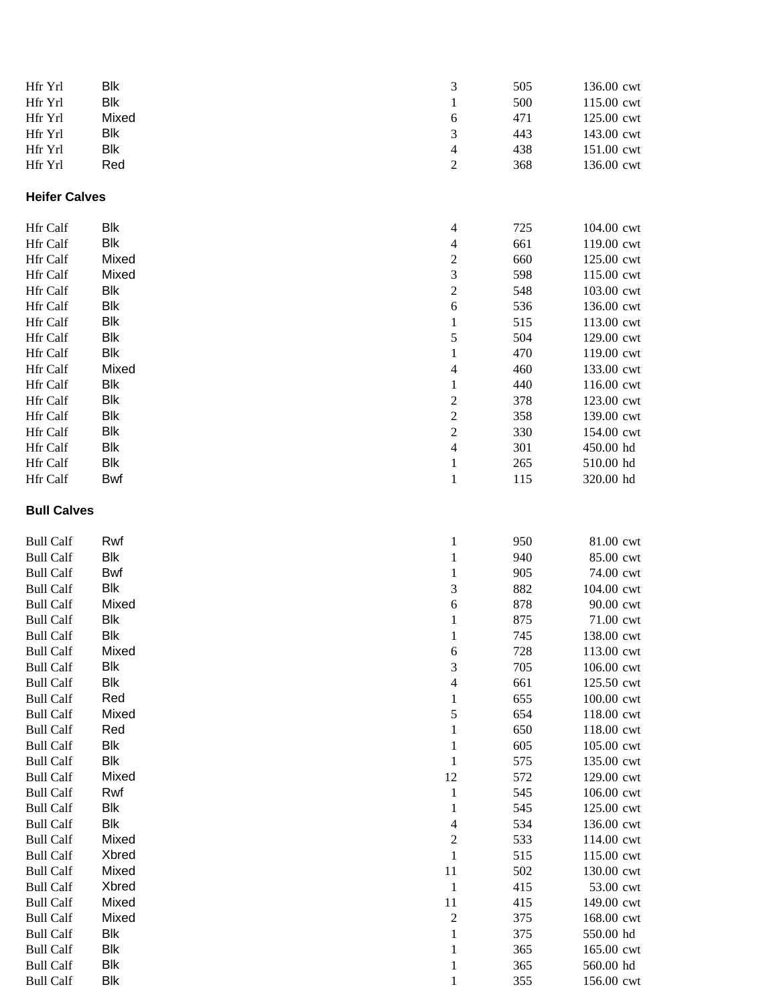| Hfr Yrl                              | Blk                 | 3                                       | 505        | 136.00 cwt              |
|--------------------------------------|---------------------|-----------------------------------------|------------|-------------------------|
| Hfr Yrl                              | Blk                 | $\mathbf{1}$                            | 500        | 115.00 cwt              |
| Hfr Yrl                              | Mixed               | 6                                       | 471        | 125.00 cwt              |
| Hfr Yrl                              | Blk                 | $\mathfrak{Z}$                          | 443        | 143.00 cwt              |
| Hfr Yrl                              | Blk                 | $\overline{\mathcal{A}}$                | 438        | 151.00 cwt              |
| Hfr Yrl                              | Red                 | $\boldsymbol{2}$                        | 368        | 136.00 cwt              |
| <b>Heifer Calves</b>                 |                     |                                         |            |                         |
| Hfr Calf                             | <b>Blk</b>          | $\overline{\mathcal{A}}$                | 725        | 104.00 cwt              |
| Hfr Calf                             | Blk                 | $\overline{\mathcal{A}}$                | 661        | 119.00 cwt              |
| Hfr Calf                             | Mixed               | $\overline{\mathbf{c}}$                 | 660        | 125.00 cwt              |
| Hfr Calf                             | Mixed               | 3                                       | 598        | 115.00 cwt              |
| Hfr Calf                             | Blk                 | $\overline{\mathbf{c}}$                 | 548        | 103.00 cwt              |
| Hfr Calf                             | Blk                 | 6                                       | 536        | 136.00 cwt              |
| Hfr Calf                             | Blk                 | $\mathbf{1}$                            | 515        | 113.00 cwt              |
| Hfr Calf                             | <b>Blk</b>          | 5                                       | 504        | 129.00 cwt              |
| Hfr Calf                             | Blk                 | $\mathbf{1}$                            | 470        | 119.00 cwt              |
| Hfr Calf                             | Mixed               | $\overline{\mathcal{A}}$                | 460        | 133.00 cwt              |
| Hfr Calf                             | <b>Blk</b>          | $\mathbf{1}$                            | 440        | 116.00 cwt              |
| Hfr Calf                             | <b>Blk</b>          | $\overline{\mathbf{c}}$                 | 378        | 123.00 cwt              |
| Hfr Calf                             | <b>Blk</b>          | $\overline{c}$                          | 358        | 139.00 cwt              |
| Hfr Calf                             | Blk                 | $\overline{\mathbf{c}}$                 | 330        | 154.00 cwt              |
| Hfr Calf                             | Blk                 | $\overline{4}$                          | 301        | 450.00 hd               |
| Hfr Calf                             | Blk                 | $\mathbf{1}$                            | 265        | 510.00 hd               |
| Hfr Calf                             | Bwf                 | $\mathbf{1}$                            | 115        | 320.00 hd               |
| <b>Bull Calves</b>                   |                     |                                         |            |                         |
| <b>Bull Calf</b>                     | Rwf                 | $\mathbf{1}$                            | 950        | 81.00 cwt               |
| <b>Bull Calf</b>                     | Blk                 | $\mathbf{1}$                            | 940        | 85.00 cwt               |
| <b>Bull Calf</b>                     | Bwf                 | $\mathbf{1}$                            | 905        | 74.00 cwt               |
| <b>Bull Calf</b>                     | Blk                 | 3                                       | 882        | 104.00 cwt              |
| <b>Bull Calf</b>                     | Mixed               | 6                                       | 878        | 90.00 cwt               |
| <b>Bull Calf</b>                     | Blk                 | $\mathbf{1}$                            | 875        | 71.00 cwt               |
| <b>Bull Calf</b>                     | Blk                 | $\mathbf{1}$                            | 745        | 138.00 cwt              |
| <b>Bull Calf</b>                     | Mixed               | $\sqrt{6}$                              | 728        | 113.00 cwt              |
| <b>Bull Calf</b>                     | Blk                 | 3                                       | 705        | 106.00 cwt              |
| <b>Bull Calf</b>                     | Blk                 | $\overline{4}$                          | 661        | 125.50 cwt              |
| <b>Bull Calf</b>                     | Red                 | $\mathbf{1}$                            | 655        | 100.00 cwt              |
| <b>Bull Calf</b>                     | Mixed               | 5                                       | 654        | 118.00 cwt              |
| <b>Bull Calf</b>                     | Red                 | $\mathbf{1}$                            | 650        | 118.00 cwt              |
| <b>Bull Calf</b>                     | Blk                 | $\mathbf{1}$                            | 605        | 105.00 cwt              |
| <b>Bull Calf</b>                     | Blk                 | $\mathbf{1}$                            | 575        | 135.00 cwt              |
| <b>Bull Calf</b>                     | Mixed               | 12                                      | 572        | 129.00 cwt              |
| <b>Bull Calf</b>                     | Rwf                 | $\mathbf{1}$                            | 545        | 106.00 cwt              |
| <b>Bull Calf</b>                     | Blk                 | $\mathbf{1}$                            | 545        | 125.00 cwt              |
| <b>Bull Calf</b>                     | <b>Blk</b>          | $\overline{\mathcal{A}}$                | 534        | 136.00 cwt              |
| <b>Bull Calf</b>                     | Mixed<br>Xbred      | $\overline{c}$                          | 533        | 114.00 cwt              |
| <b>Bull Calf</b>                     | Mixed               | $\mathbf{1}$                            | 515<br>502 | 115.00 cwt              |
| <b>Bull Calf</b>                     | Xbred               | 11                                      |            | 130.00 cwt              |
| <b>Bull Calf</b>                     | Mixed               | $\mathbf{1}$                            | 415        | 53.00 cwt               |
| <b>Bull Calf</b>                     |                     | 11                                      | 415        | 149.00 cwt              |
| <b>Bull Calf</b><br><b>Bull Calf</b> | Mixed<br><b>Blk</b> | $\overline{\mathbf{c}}$<br>$\mathbf{1}$ | 375<br>375 | 168.00 cwt<br>550.00 hd |
| <b>Bull Calf</b>                     | Blk                 | $\mathbf{1}$                            | 365        | 165.00 cwt              |
| <b>Bull Calf</b>                     | <b>Blk</b>          | $\mathbf{1}$                            | 365        | 560.00 hd               |
| <b>Bull Calf</b>                     | <b>Blk</b>          | $\mathbf{1}$                            | 355        | 156.00 cwt              |
|                                      |                     |                                         |            |                         |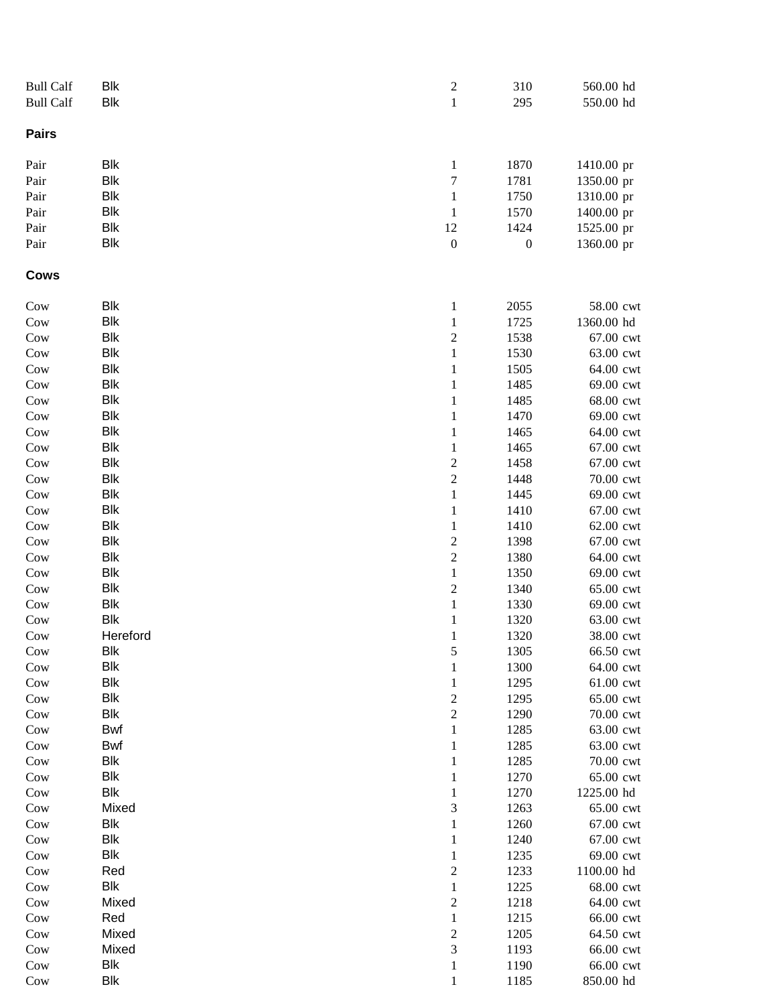| <b>Bull Calf</b> | <b>Blk</b>               | $\overline{c}$                 | 310              | 560.00 hd              |
|------------------|--------------------------|--------------------------------|------------------|------------------------|
| <b>Bull Calf</b> | <b>Blk</b>               | $\,1$                          | 295              | 550.00 hd              |
| <b>Pairs</b>     |                          |                                |                  |                        |
| Pair             | <b>Blk</b>               | $\mathbf{1}$                   | 1870             | 1410.00 pr             |
| Pair             | <b>Blk</b>               | $\sqrt{ }$                     | 1781             | 1350.00 pr             |
| Pair             | <b>Blk</b>               | $\mathbf{1}$                   | 1750             | 1310.00 pr             |
| Pair             | <b>Blk</b>               | $\mathbf{1}$                   | 1570             | 1400.00 pr             |
| Pair             | <b>Blk</b>               | 12                             | 1424             | 1525.00 pr             |
| Pair             | <b>Blk</b>               | $\boldsymbol{0}$               | $\boldsymbol{0}$ | 1360.00 pr             |
| Cows             |                          |                                |                  |                        |
| Cow              | <b>Blk</b>               | $\mathbf{1}$                   | 2055             | 58.00 cwt              |
| Cow              | <b>Blk</b>               | $\mathbf{1}$                   | 1725             | 1360.00 hd             |
| Cow              | <b>Blk</b>               | $\overline{c}$                 | 1538             | 67.00 cwt              |
| Cow              | <b>Blk</b>               | $\,1$                          | 1530             | 63.00 cwt              |
| Cow              | <b>Blk</b>               | $\mathbf{1}$                   | 1505             | 64.00 cwt              |
| Cow              | <b>Blk</b>               | $\mathbf{1}$                   | 1485             | 69.00 cwt              |
| Cow              | <b>Blk</b>               | $\mathbf{1}$                   | 1485             | 68.00 cwt              |
| Cow              | <b>Blk</b>               | $\mathbf{1}$                   | 1470             | 69.00 cwt              |
| Cow              | <b>Blk</b>               | $\mathbf{1}$                   | 1465             | 64.00 cwt              |
| Cow              | <b>Blk</b>               | $\mathbf{1}$                   | 1465             | 67.00 cwt              |
| Cow              | <b>Blk</b>               | $\overline{\mathbf{c}}$        | 1458             | 67.00 cwt              |
| Cow              | <b>Blk</b>               | $\overline{c}$                 | 1448             | 70.00 cwt              |
| Cow              | <b>Blk</b>               | $\mathbf{1}$                   | 1445             | 69.00 cwt              |
| Cow              | <b>Blk</b>               | $\mathbf{1}$                   | 1410             | 67.00 cwt              |
| Cow              | <b>Blk</b>               | $\mathbf{1}$                   | 1410             | 62.00 cwt              |
| Cow              | <b>Blk</b>               | $\overline{c}$                 | 1398             | 67.00 cwt              |
| Cow              | <b>Blk</b>               | $\overline{c}$                 | 1380             | 64.00 cwt              |
| Cow              | <b>Blk</b>               | $\,1$                          | 1350             | 69.00 cwt              |
| Cow              | <b>Blk</b>               | $\overline{c}$                 | 1340             | 65.00 cwt              |
| Cow              | <b>Blk</b>               | $\,1$                          | 1330             | 69.00 cwt              |
| Cow              | <b>Blk</b>               | $\mathbf{1}$                   | 1320             | 63.00 cwt              |
| Cow              | Hereford                 | $\mathbf{1}$                   | 1320             | 38.00 cwt              |
| Cow              | Blk                      | 5                              | 1305             | 66.50 cwt              |
| Cow              | <b>Blk</b>               | $\mathbf{1}$                   | 1300             | 64.00 cwt              |
| Cow              | <b>Blk</b>               | $\mathbf{1}$                   | 1295             | 61.00 cwt              |
| Cow              | <b>Blk</b><br><b>Blk</b> | $\boldsymbol{2}$               | 1295             | 65.00 cwt              |
| Cow              | Bwf                      | $\overline{c}$<br>$\mathbf{1}$ | 1290<br>1285     | 70.00 cwt<br>63.00 cwt |
| Cow<br>Cow       | Bwf                      | $\mathbf{1}$                   | 1285             | 63.00 cwt              |
| Cow              | <b>Blk</b>               | $\mathbf{1}$                   | 1285             | 70.00 cwt              |
| Cow              | <b>Blk</b>               | 1                              | 1270             | 65.00 cwt              |
| Cow              | <b>Blk</b>               | $\mathbf{1}$                   | 1270             | 1225.00 hd             |
| Cow              | Mixed                    | 3                              | 1263             | 65.00 cwt              |
| Cow              | <b>Blk</b>               | $\mathbf{1}$                   | 1260             | 67.00 cwt              |
| Cow              | <b>Blk</b>               | 1                              | 1240             | 67.00 cwt              |
| Cow              | <b>Blk</b>               | $\mathbf{1}$                   | 1235             | 69.00 cwt              |
| Cow              | Red                      | $\overline{c}$                 | 1233             | 1100.00 hd             |
| Cow              | <b>Blk</b>               | $\mathbf{1}$                   | 1225             | 68.00 cwt              |
| Cow              | Mixed                    | $\overline{c}$                 | 1218             | 64.00 cwt              |
| Cow              | Red                      | $\,1$                          | 1215             | 66.00 cwt              |
| Cow              | Mixed                    | $\overline{c}$                 | 1205             | 64.50 cwt              |
| Cow              | Mixed                    | 3                              | 1193             | 66.00 cwt              |
| Cow              | Blk                      | 1                              | 1190             | 66.00 cwt              |
| Cow              | <b>Blk</b>               | 1                              | 1185             | 850.00 hd              |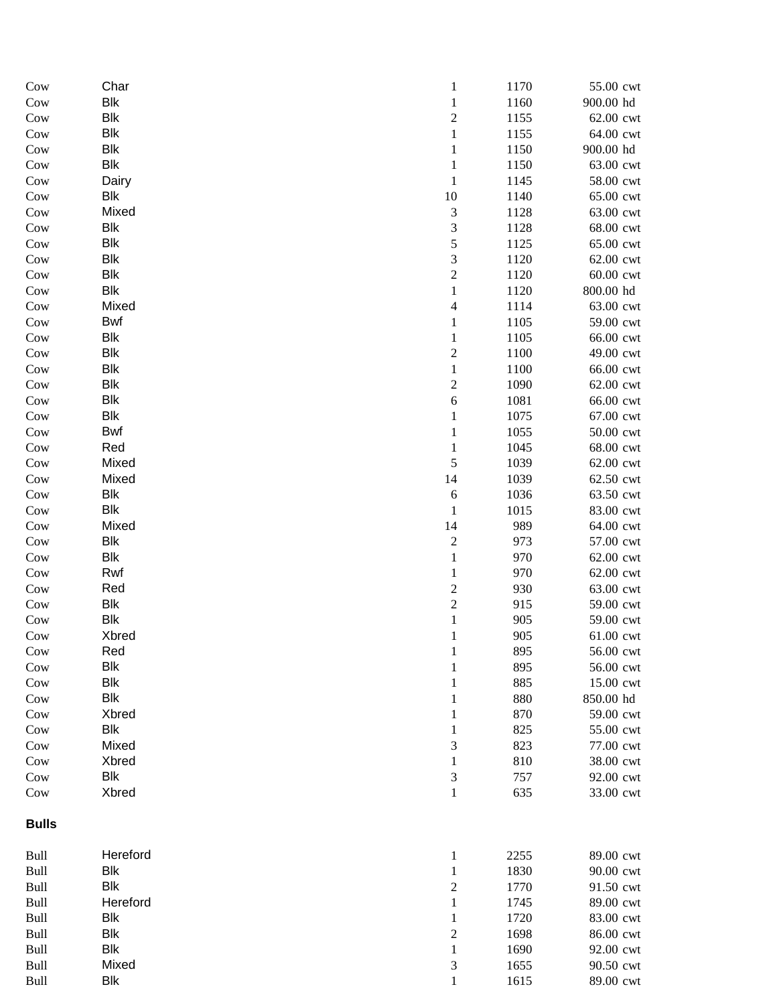| Cow          | Char           | $\mathbf{1}$                          | 1170         | 55.00 cwt              |
|--------------|----------------|---------------------------------------|--------------|------------------------|
| Cow          | <b>Blk</b>     | $\mathbf{1}$                          | 1160         | 900.00 hd              |
| Cow          | <b>Blk</b>     | $\overline{c}$                        | 1155         | 62.00 cwt              |
| Cow          | <b>Blk</b>     | $\mathbf{1}$                          | 1155         | 64.00 cwt              |
| Cow          | <b>Blk</b>     | $\mathbf{1}$                          | 1150         | 900.00 hd              |
| Cow          | <b>Blk</b>     | $\mathbf{1}$                          | 1150         | 63.00 cwt              |
| Cow          | Dairy          | $\,1$                                 | 1145         | 58.00 cwt              |
| Cow          | <b>Blk</b>     | 10                                    | 1140         | 65.00 cwt              |
| Cow          | Mixed          | 3                                     | 1128         | 63.00 cwt              |
| Cow          | <b>Blk</b>     | 3                                     | 1128         | 68.00 cwt              |
| Cow          | <b>Blk</b>     | 5                                     | 1125         | 65.00 cwt              |
| Cow          | <b>Blk</b>     | $\mathfrak{Z}$                        | 1120         | 62.00 cwt              |
| Cow          | <b>Blk</b>     | $\overline{c}$                        | 1120         | 60.00 cwt              |
| Cow          | <b>Blk</b>     | $\mathbf{1}$                          | 1120         | 800.00 hd              |
| Cow          | Mixed          | $\overline{4}$                        | 1114         | 63.00 cwt              |
| Cow          | <b>Bwf</b>     | $\mathbf{1}$                          | 1105         | 59.00 cwt              |
| Cow          | <b>Blk</b>     | $\mathbf{1}$                          | 1105         | 66.00 cwt              |
| Cow          | <b>Blk</b>     | $\overline{c}$                        | 1100         | 49.00 cwt              |
| Cow          | <b>Blk</b>     | $\,1\,$                               | 1100         | 66.00 cwt              |
| Cow          | <b>Blk</b>     | $\boldsymbol{2}$                      | 1090         | 62.00 cwt              |
| Cow          | <b>Blk</b>     | $\sqrt{6}$                            | 1081         | 66.00 cwt              |
| Cow          | <b>Blk</b>     | $\mathbf{1}$                          | 1075         | 67.00 cwt              |
| Cow          | <b>Bwf</b>     | $\mathbf{1}$                          | 1055         | 50.00 cwt              |
| Cow          | Red            | $\mathbf{1}$                          | 1045         | 68.00 cwt              |
| Cow          | Mixed<br>Mixed | $\mathfrak s$<br>14                   | 1039<br>1039 | 62.00 cwt              |
| Cow          | <b>Blk</b>     |                                       | 1036         | 62.50 cwt<br>63.50 cwt |
| Cow<br>Cow   | <b>Blk</b>     | $\sqrt{6}$<br>$\mathbf{1}$            | 1015         | 83.00 cwt              |
| Cow          | Mixed          | 14                                    | 989          | 64.00 cwt              |
| Cow          | <b>Blk</b>     | $\sqrt{2}$                            | 973          | 57.00 cwt              |
| Cow          | <b>Blk</b>     | $\,1\,$                               | 970          | 62.00 cwt              |
| Cow          | Rwf            | $\mathbf{1}$                          | 970          | 62.00 cwt              |
| Cow          | Red            |                                       | 930          | 63.00 cwt              |
| Cow          | <b>Blk</b>     | $\begin{array}{c} 2 \\ 2 \end{array}$ | 915          | 59.00 cwt              |
| Cow          | <b>Blk</b>     | $\,1$                                 | 905          | 59.00 cwt              |
| Cow          | Xbred          | $\mathbf{1}$                          | 905          | 61.00 cwt              |
| Cow          | Red            | $\mathbf{1}$                          | 895          | 56.00 cwt              |
| Cow          | Blk            | $\mathbf{1}$                          | 895          | 56.00 cwt              |
| Cow          | <b>Blk</b>     | $\mathbf{1}$                          | 885          | 15.00 cwt              |
| Cow          | <b>Blk</b>     | $\mathbf{1}$                          | 880          | 850.00 hd              |
| Cow          | Xbred          | $\mathbf{1}$                          | 870          | 59.00 cwt              |
| Cow          | <b>Blk</b>     | $\mathbf{1}$                          | 825          | 55.00 cwt              |
| Cow          | Mixed          | 3                                     | 823          | 77.00 cwt              |
| Cow          | Xbred          | $\mathbf{1}$                          | 810          | 38.00 cwt              |
| Cow          | <b>Blk</b>     | 3                                     | 757          | 92.00 cwt              |
| Cow          | Xbred          | $\mathbf 1$                           | 635          | 33.00 cwt              |
| <b>Bulls</b> |                |                                       |              |                        |
| Bull         | Hereford       | $\mathbf{1}$                          | 2255         | 89.00 cwt              |
| Bull         | Blk            | $\mathbf{1}$                          | 1830         | 90.00 cwt              |
| Bull         | <b>Blk</b>     | $\overline{c}$                        | 1770         | 91.50 cwt              |
| Bull         | Hereford       | $\mathbf{1}$                          | 1745         | 89.00 cwt              |
| Bull         | <b>Blk</b>     | $\mathbf{1}$                          | 1720         | 83.00 cwt              |
| Bull         | <b>Blk</b>     | $\overline{c}$                        | 1698         | 86.00 cwt              |
| <b>Bull</b>  | Blk            | $\mathbf{1}$                          | 1690         | 92.00 cwt              |
| Bull         | Mixed          | 3                                     | 1655         | 90.50 cwt              |
| Bull         | <b>Blk</b>     | 1                                     | 1615         | 89.00 cwt              |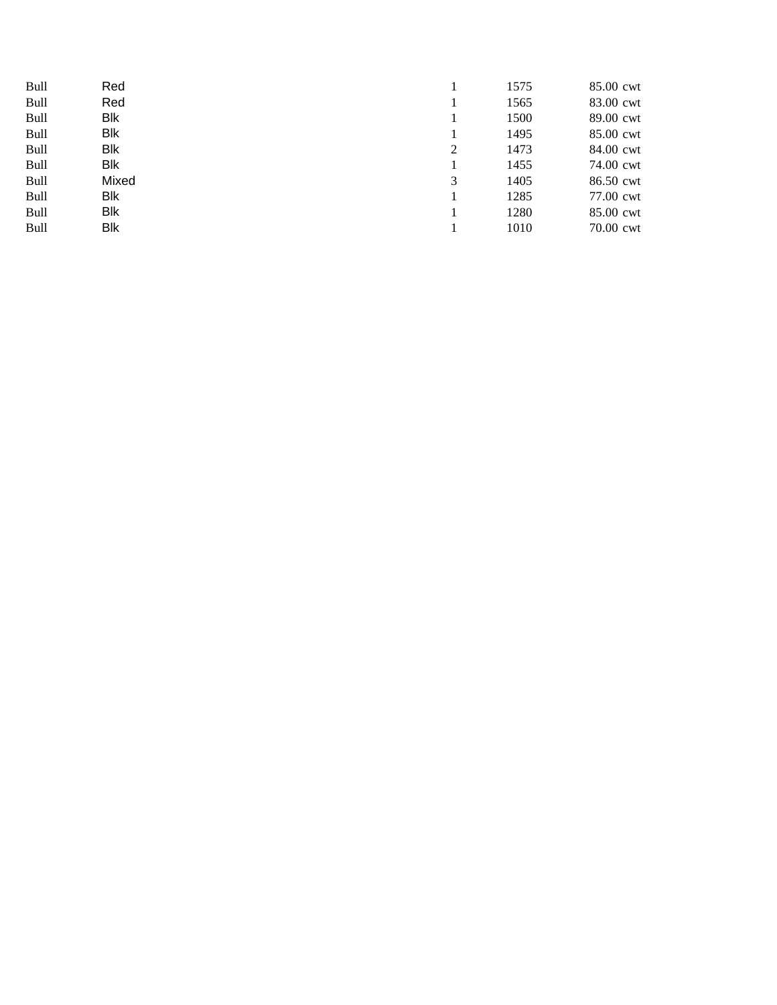| <b>Bull</b> | Red   |   | 1575 | 85.00 cwt |
|-------------|-------|---|------|-----------|
| Bull        | Red   |   | 1565 | 83.00 cwt |
| Bull        | Blk   |   | 1500 | 89.00 cwt |
| Bull        | Blk   |   | 1495 | 85.00 cwt |
| <b>Bull</b> | Blk   | 2 | 1473 | 84.00 cwt |
| Bull        | Blk   |   | 1455 | 74.00 cwt |
| Bull        | Mixed | 3 | 1405 | 86.50 cwt |
| Bull        | Blk   |   | 1285 | 77.00 cwt |
| <b>Bull</b> | Blk   |   | 1280 | 85.00 cwt |
| Bull        | Blk   |   | 1010 | 70.00 cwt |